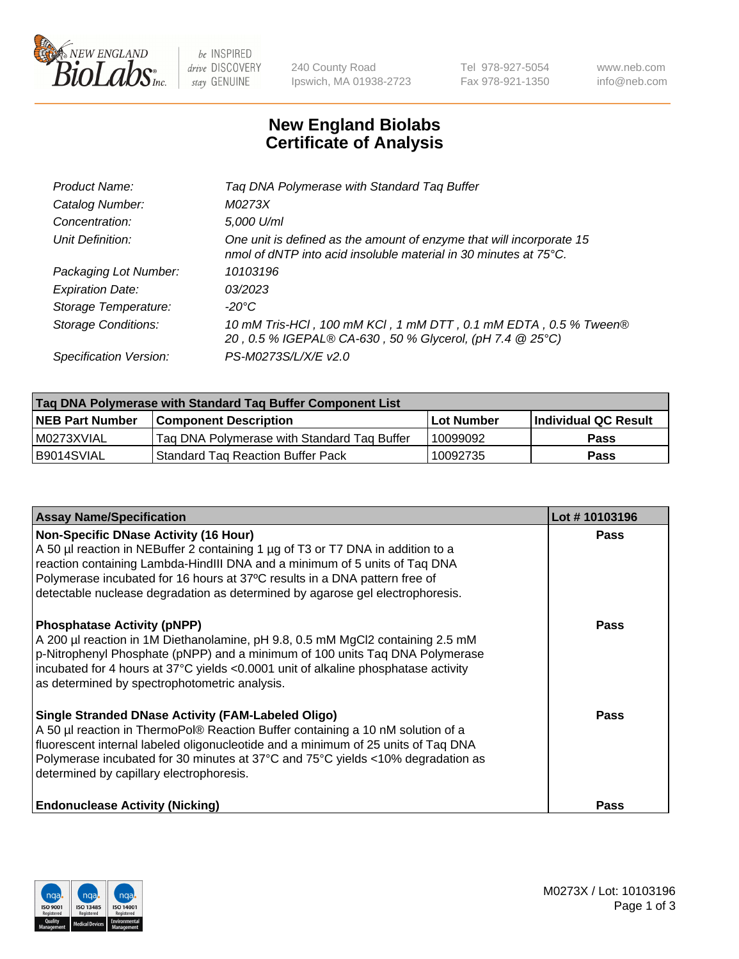

be INSPIRED drive DISCOVERY stay GENUINE

240 County Road Ipswich, MA 01938-2723 Tel 978-927-5054 Fax 978-921-1350 www.neb.com info@neb.com

## **New England Biolabs Certificate of Analysis**

| Product Name:           | Tag DNA Polymerase with Standard Tag Buffer                                                                                                        |
|-------------------------|----------------------------------------------------------------------------------------------------------------------------------------------------|
| Catalog Number:         | M0273X                                                                                                                                             |
| Concentration:          | 5,000 U/ml                                                                                                                                         |
| Unit Definition:        | One unit is defined as the amount of enzyme that will incorporate 15<br>nmol of dNTP into acid insoluble material in 30 minutes at $75^{\circ}$ C. |
| Packaging Lot Number:   | 10103196                                                                                                                                           |
| <b>Expiration Date:</b> | 03/2023                                                                                                                                            |
| Storage Temperature:    | $-20^{\circ}$ C                                                                                                                                    |
| Storage Conditions:     | 10 mM Tris-HCl, 100 mM KCl, 1 mM DTT, 0.1 mM EDTA, 0.5 % Tween®<br>20, 0.5 % IGEPAL® CA-630, 50 % Glycerol, (pH 7.4 @ 25°C)                        |
| Specification Version:  | PS-M0273S/L/X/E v2.0                                                                                                                               |

| Tag DNA Polymerase with Standard Tag Buffer Component List |                                             |                   |                      |  |
|------------------------------------------------------------|---------------------------------------------|-------------------|----------------------|--|
| <b>NEB Part Number</b>                                     | <b>Component Description</b>                | <b>Lot Number</b> | Individual QC Result |  |
| M0273XVIAL                                                 | Tag DNA Polymerase with Standard Tag Buffer | 10099092          | <b>Pass</b>          |  |
| B9014SVIAL                                                 | 'Standard Tag Reaction Buffer Pack          | 10092735          | <b>Pass</b>          |  |

| <b>Assay Name/Specification</b>                                                                                                                                                                                                                                                                                                                                              | Lot #10103196 |
|------------------------------------------------------------------------------------------------------------------------------------------------------------------------------------------------------------------------------------------------------------------------------------------------------------------------------------------------------------------------------|---------------|
| <b>Non-Specific DNase Activity (16 Hour)</b><br>A 50 µl reaction in NEBuffer 2 containing 1 µg of T3 or T7 DNA in addition to a<br>reaction containing Lambda-HindIII DNA and a minimum of 5 units of Taq DNA<br>Polymerase incubated for 16 hours at 37°C results in a DNA pattern free of<br>detectable nuclease degradation as determined by agarose gel electrophoresis. | <b>Pass</b>   |
| <b>Phosphatase Activity (pNPP)</b><br>A 200 µl reaction in 1M Diethanolamine, pH 9.8, 0.5 mM MgCl2 containing 2.5 mM<br>p-Nitrophenyl Phosphate (pNPP) and a minimum of 100 units Taq DNA Polymerase<br>incubated for 4 hours at 37°C yields <0.0001 unit of alkaline phosphatase activity<br>as determined by spectrophotometric analysis.                                  | Pass          |
| <b>Single Stranded DNase Activity (FAM-Labeled Oligo)</b><br>A 50 µl reaction in ThermoPol® Reaction Buffer containing a 10 nM solution of a<br>fluorescent internal labeled oligonucleotide and a minimum of 25 units of Taq DNA<br>Polymerase incubated for 30 minutes at 37°C and 75°C yields <10% degradation as<br>determined by capillary electrophoresis.             | Pass          |
| <b>Endonuclease Activity (Nicking)</b>                                                                                                                                                                                                                                                                                                                                       | Pass          |

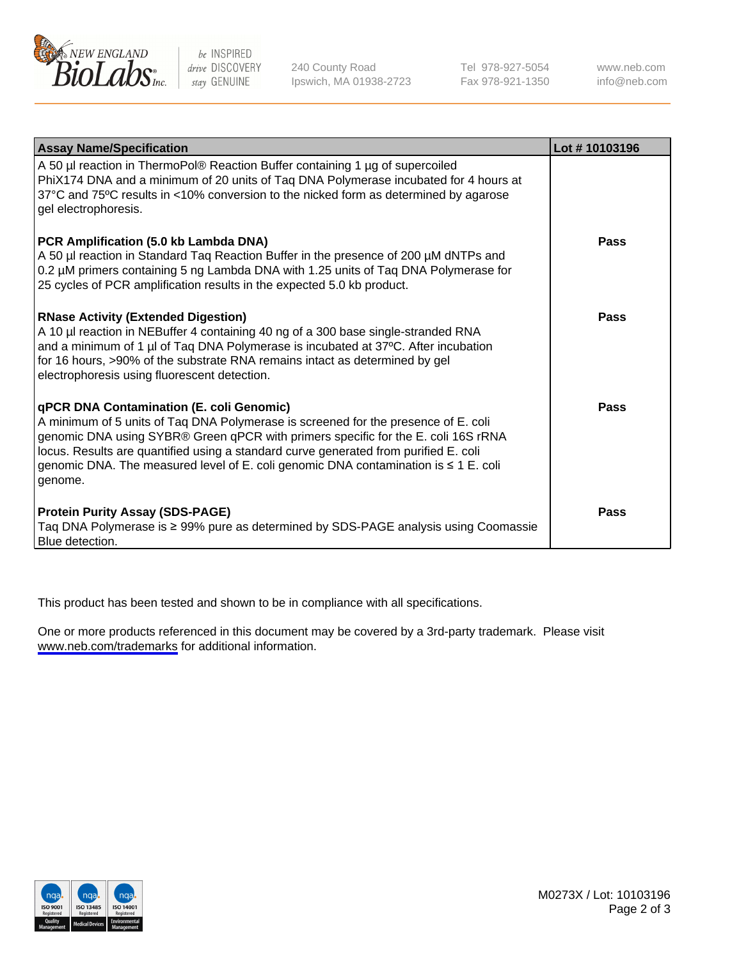

be INSPIRED drive DISCOVERY stay GENUINE

240 County Road Ipswich, MA 01938-2723 Tel 978-927-5054 Fax 978-921-1350

www.neb.com info@neb.com

| <b>Assay Name/Specification</b>                                                                                                                                                                                                                                                                                                                                                                               | Lot #10103196 |
|---------------------------------------------------------------------------------------------------------------------------------------------------------------------------------------------------------------------------------------------------------------------------------------------------------------------------------------------------------------------------------------------------------------|---------------|
| A 50 µl reaction in ThermoPol® Reaction Buffer containing 1 µg of supercoiled<br>PhiX174 DNA and a minimum of 20 units of Taq DNA Polymerase incubated for 4 hours at<br>37°C and 75°C results in <10% conversion to the nicked form as determined by agarose<br>gel electrophoresis.                                                                                                                         |               |
| PCR Amplification (5.0 kb Lambda DNA)<br>A 50 µl reaction in Standard Taq Reaction Buffer in the presence of 200 µM dNTPs and<br>0.2 µM primers containing 5 ng Lambda DNA with 1.25 units of Taq DNA Polymerase for<br>25 cycles of PCR amplification results in the expected 5.0 kb product.                                                                                                                | Pass          |
| <b>RNase Activity (Extended Digestion)</b><br>A 10 µl reaction in NEBuffer 4 containing 40 ng of a 300 base single-stranded RNA<br>and a minimum of 1 µl of Taq DNA Polymerase is incubated at 37°C. After incubation<br>for 16 hours, >90% of the substrate RNA remains intact as determined by gel<br>electrophoresis using fluorescent detection.                                                          | Pass          |
| qPCR DNA Contamination (E. coli Genomic)<br>A minimum of 5 units of Taq DNA Polymerase is screened for the presence of E. coli<br>genomic DNA using SYBR® Green qPCR with primers specific for the E. coli 16S rRNA<br>locus. Results are quantified using a standard curve generated from purified E. coli<br>genomic DNA. The measured level of E. coli genomic DNA contamination is ≤ 1 E. coli<br>genome. | Pass          |
| <b>Protein Purity Assay (SDS-PAGE)</b><br>Taq DNA Polymerase is ≥ 99% pure as determined by SDS-PAGE analysis using Coomassie<br>Blue detection.                                                                                                                                                                                                                                                              | Pass          |

This product has been tested and shown to be in compliance with all specifications.

One or more products referenced in this document may be covered by a 3rd-party trademark. Please visit <www.neb.com/trademarks>for additional information.